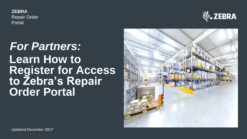**ZEBRA** Repair Order Portal



## *For Partners:* **Learn How to Register for Access to Zebra's Repair Order Portal**

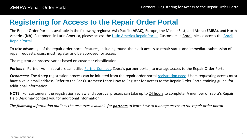### **Registering for Access to the Repair Order Portal**

The Repair Order Portal is available in the following regions: Asia Pacific (**APAC**), Europe, the Middle East, and Africa (**EMEA**), and North America (NA[\). Customers in Latin America, please access the Latin America Repair Portal. Customers in Brazil, please access the Brazil](http://www.zebraservicosbrasil.com.br/) Repair Portal.

To take advantage of the repair order portal features, including round-the-clock access to repair status and immediate submission of repair requests, users must register and be approved for access

The registration process varies based on customer classification:

*Partners*: Partner Administrators can utilize [PartnerConnect](https://partnerportal.zebra.com/), Zebra's partner portal, to manage access to the Repair Order Portal

Customers: The 4 step registration process can be initiated from the repair order portal [registration page.](http://signup.zebra.com/register.html?appId=RMAA) Users requesting access must have a valid email address. Refer to the For Customers: Learn How to Register for Access to the Repair Order Portal training guide, for additional information

**NOTE:** For customers, the registration review and approval process can take up to 24 hours to complete. A member of Zebra's Repair Help Desk may contact you for additional information

*The following information outlines the resources available for partners to learn how to manage access to the repair order portal*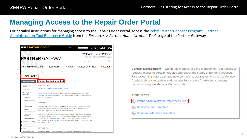### **Managing Access to the Repair Order Portal**

[For detailed instructions for managing access to the Repair Order Portal, access the Zebra PartnerConnect Program: Partner](https://partnerportal.zebra.com/PartnerPortal/resources/downloads_z/managing_relationships/SFDC-Partner-Admin-Guide-for-Partners.pdf)  Administration Tool Reference Guide from the *Resources > Partner Administration Tool*, page of the Partner Gateway

| ZEBRA° PARTNERCONNECT                          |                                                                                                                                                                             | North America $\blacktriangledown$<br><b>Select Region</b> |                                                           | <b>NORTH AMERIC</b> |
|------------------------------------------------|-----------------------------------------------------------------------------------------------------------------------------------------------------------------------------|------------------------------------------------------------|-----------------------------------------------------------|---------------------|
|                                                | <b>PARTNER GATEWAY</b>                                                                                                                                                      |                                                            | Welcome, Laura Palmite<br>PARTNER GATEWAY SUPPORT   Log O |                     |
|                                                |                                                                                                                                                                             |                                                            | <b>SEARCH</b>                                             |                     |
| <b>PROGRAM INFORMATION</b>                     | <b>RESOURCES</b>                                                                                                                                                            | <b>PRODUCTS, SERVICES &amp; SUPPLIES</b>                   |                                                           | <b>SOLUTION</b>     |
|                                                | Home » Resource Central » Managing Your Relationship » Partner Administration Tool                                                                                          |                                                            |                                                           |                     |
| <b>RESOURCES</b>                               |                                                                                                                                                                             |                                                            |                                                           |                     |
| <b>RESOURCE CENTRAL</b>                        | <b>Partner Administration Tool</b>                                                                                                                                          |                                                            |                                                           |                     |
| PartnerConnect<br>Updates                      | <b>USE THIS TOOL</b>                                                                                                                                                        |                                                            |                                                           |                     |
| What's New                                     | <b>Access the Partner Administration Tool</b><br>Þ.                                                                                                                         |                                                            |                                                           |                     |
| V Managing Your<br>Relationship                | You can also access the tool from the Connecting Tools box on the Partner<br>Gateway homepage. Simply click on Partner Administration Tool button and                       |                                                            |                                                           |                     |
| How Do I<br>Annual Compliance<br>Review        | then select Access.                                                                                                                                                         |                                                            |                                                           |                     |
| Partner<br>Administrator<br>Partner            | <b>OVERVIEW</b><br>The online Partner Administration Tool is a centralized account management<br>site that makes it easy for you to do business with Zebra through a set of |                                                            |                                                           |                     |
| Administration Tool<br>Relationship<br>Changes | modules supporting key areas of your relationship.<br>Access to the different modules depends on partner type, role and approval.                                           |                                                            |                                                           |                     |
| Partnership Builder                            | The Partner Administration Tool is a particularly key resource for individuals<br>serving as Partner Administrators, who use the tool to update company                     |                                                            |                                                           |                     |
| > Certification & Training                     | information, manage company contacts, grant permission for certain modules<br>and much more.                                                                                |                                                            |                                                           |                     |
| > Distributor Resources                        |                                                                                                                                                                             |                                                            |                                                           |                     |
| $\sum$ Events                                  | <b>KEY MODULES</b>                                                                                                                                                          |                                                            |                                                           |                     |
| > Marketing Resources                          | Company Profile - Through this module, Partner Administrators can update                                                                                                    |                                                            |                                                           |                     |

Contact Management - Within this module, use the Manage My Tool Access to request access to certain modules and check the status of pending requests. Partner Administrators can add new contacts to our system via the Create New Contact tab or can update and manage tool access for existing company contacts using the Manage Contacts tab.

#### **RESOURCES**

- Partner Administrator Reference Guide
- **Business Plan Template**
- Solution Reference Template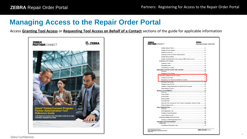### **Managing Access to the Repair Order Portal**

Access **Granting Tool Access** or **Requesting Tool Access on Behalf of a Contact** sections of the guide for applicable information



| ZEBRA`<br><b>PARTNER</b> CONNECT                                             | <b>ZEBRA</b><br>KNOWLEDGE CENTER |
|------------------------------------------------------------------------------|----------------------------------|
|                                                                              |                                  |
|                                                                              |                                  |
|                                                                              |                                  |
|                                                                              |                                  |
|                                                                              |                                  |
|                                                                              |                                  |
|                                                                              |                                  |
|                                                                              |                                  |
|                                                                              |                                  |
|                                                                              |                                  |
|                                                                              |                                  |
|                                                                              |                                  |
|                                                                              |                                  |
|                                                                              |                                  |
|                                                                              |                                  |
|                                                                              |                                  |
|                                                                              |                                  |
|                                                                              |                                  |
|                                                                              |                                  |
|                                                                              |                                  |
|                                                                              |                                  |
|                                                                              |                                  |
|                                                                              |                                  |
|                                                                              |                                  |
|                                                                              |                                  |
| Attached Files: Change the Title, Provide a Description, Make it Private  32 |                                  |
|                                                                              |                                  |
|                                                                              |                                  |
|                                                                              |                                  |
|                                                                              |                                  |
|                                                                              |                                  |
|                                                                              |                                  |
|                                                                              |                                  |
|                                                                              |                                  |
|                                                                              |                                  |
|                                                                              |                                  |
|                                                                              |                                  |